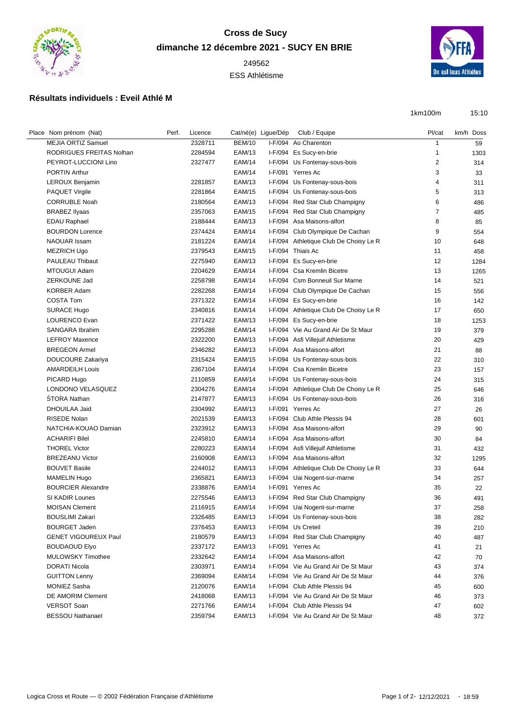

## **Cross de Sucy dimanche 12 décembre 2021 - SUCY EN BRIE** 249562

ESS Athlétisme



## **Résultats individuels : Eveil Athlé M**

1km100m 15:10

| Place Nom prénom (Nat)      | Perf. | Licence |               | Cat/né(e) Ligue/Dép | Club / Equipe                          | Pl/cat         | km/h Doss |
|-----------------------------|-------|---------|---------------|---------------------|----------------------------------------|----------------|-----------|
| <b>MEJIA ORTIZ Samuel</b>   |       | 2328711 | <b>BEM/10</b> |                     | I-F/094 Ao Charenton                   | $\mathbf{1}$   | 59        |
| RODRIGUES FREITAS Nolhan    |       | 2284594 | <b>EAM/13</b> |                     | I-F/094 Es Sucy-en-brie                | 1              | 1303      |
| PEYROT-LUCCIONI Lino        |       | 2327477 | <b>EAM/14</b> |                     | I-F/094 Us Fontenay-sous-bois          | $\overline{2}$ | 314       |
| <b>PORTIN Arthur</b>        |       |         | <b>EAM/14</b> |                     | I-F/091 Yerres Ac                      | 3              | 33        |
| LEROUX Benjamin             |       | 2281857 | <b>EAM/13</b> |                     | I-F/094 Us Fontenay-sous-bois          | 4              | 311       |
| <b>PAQUET Virgile</b>       |       | 2281864 | <b>EAM/15</b> |                     | I-F/094 Us Fontenay-sous-bois          | 5              | 313       |
| <b>CORRUBLE Noah</b>        |       | 2180564 | <b>EAM/13</b> |                     | I-F/094 Red Star Club Champigny        | 6              | 486       |
| <b>BRABEZ Ilyaas</b>        |       | 2357063 | <b>EAM/15</b> |                     | I-F/094 Red Star Club Champigny        | 7              | 485       |
| <b>EDAU Raphael</b>         |       | 2188444 | <b>EAM/13</b> |                     | I-F/094 Asa Maisons-alfort             | 8              | 85        |
| <b>BOURDON Lorence</b>      |       | 2374424 | <b>EAM/14</b> |                     | I-F/094 Club Olympique De Cachan       | 9              | 554       |
| <b>NAOUAR Issam</b>         |       | 2181224 | <b>EAM/14</b> |                     | I-F/094 Athletique Club De Choisy Le R | 10             | 648       |
| <b>MEZRICH Ugo</b>          |       | 2379543 | <b>EAM/15</b> |                     | I-F/094 Thiais Ac                      | 11             | 458       |
| PAULEAU Thibaut             |       | 2275940 | <b>EAM/13</b> |                     | I-F/094 Es Sucy-en-brie                | 12             | 1284      |
| MTOUGUI Adam                |       | 2204629 | <b>EAM/14</b> |                     | I-F/094 Csa Kremlin Bicetre            | 13             | 1265      |
| ZERKOUNE Jad                |       | 2258798 | <b>EAM/14</b> |                     | I-F/094 Csm Bonneuil Sur Marne         | 14             | 521       |
| <b>KORBER Adam</b>          |       | 2282268 | <b>EAM/14</b> |                     | I-F/094 Club Olympique De Cachan       | 15             | 556       |
| <b>COSTA Tom</b>            |       | 2371322 | <b>EAM/14</b> |                     | I-F/094 Es Sucy-en-brie                | 16             | 142       |
| <b>SURACE Hugo</b>          |       | 2340816 | <b>EAM/14</b> |                     | I-F/094 Athletique Club De Choisy Le R | 17             | 650       |
| LOURENCO Evan               |       | 2371422 | <b>EAM/13</b> |                     | I-F/094 Es Sucy-en-brie                | 18             | 1253      |
| SANGARA Ibrahim             |       | 2295288 | <b>EAM/14</b> |                     | I-F/094 Vie Au Grand Air De St Maur    | 19             | 379       |
| <b>LEFROY Maxence</b>       |       | 2322200 | <b>EAM/13</b> |                     | I-F/094 Asfi Villejuif Athletisme      | 20             | 429       |
| <b>BREGEON Armel</b>        |       | 2346282 | <b>EAM/13</b> |                     | I-F/094 Asa Maisons-alfort             | 21             | 88        |
| <b>DOUCOURE Zakariya</b>    |       | 2315424 | <b>EAM/15</b> |                     | I-F/094 Us Fontenay-sous-bois          | 22             | 310       |
| <b>AMARDEILH Louis</b>      |       | 2367104 | <b>EAM/14</b> |                     | I-F/094 Csa Kremlin Bicetre            | 23             | 157       |
| PICARD Hugo                 |       | 2110859 | <b>EAM/14</b> |                     | I-F/094 Us Fontenay-sous-bois          | 24             | 315       |
| LONDONO VELASQUEZ           |       | 2304276 | <b>EAM/14</b> |                     | I-F/094 Athletique Club De Choisy Le R | 25             | 646       |
| <b>STORA Nathan</b>         |       | 2147877 | <b>EAM/13</b> |                     | I-F/094 Us Fontenay-sous-bois          | 26             | 316       |
| DHOUILAA Jaid               |       | 2304992 | <b>EAM/13</b> |                     | I-F/091 Yerres Ac                      | 27             | 26        |
| <b>RISEDE Nolan</b>         |       | 2021539 | <b>EAM/13</b> |                     | I-F/094 Club Athle Plessis 94          | 28             | 601       |
| NATCHIA-KOUAO Damian        |       | 2323912 | <b>EAM/13</b> |                     | I-F/094 Asa Maisons-alfort             | 29             | 90        |
| <b>ACHARIFI Bilel</b>       |       | 2245810 | <b>EAM/14</b> |                     | I-F/094 Asa Maisons-alfort             | 30             | 84        |
| <b>THOREL Victor</b>        |       | 2280223 | <b>EAM/14</b> |                     | I-F/094 Asfi Villejuif Athletisme      | 31             | 432       |
| <b>BREZEANU Victor</b>      |       | 2160908 | <b>EAM/13</b> |                     | I-F/094 Asa Maisons-alfort             | 32             | 1295      |
| <b>BOUVET Basile</b>        |       | 2244012 | <b>EAM/13</b> |                     | I-F/094 Athletique Club De Choisy Le R | 33             | 644       |
| <b>MAMELIN Hugo</b>         |       | 2365821 | <b>EAM/13</b> |                     | I-F/094 Uai Nogent-sur-marne           | 34             | 257       |
| <b>BOURCIER Alexandre</b>   |       | 2338876 | <b>EAM/14</b> |                     | I-F/091 Yerres Ac                      | 35             | 22        |
| SI KADIR Lounes             |       | 2275546 | <b>EAM/13</b> |                     | I-F/094 Red Star Club Champigny        | 36             | 491       |
| <b>MOISAN Clement</b>       |       | 2116915 | <b>EAM/14</b> |                     | I-F/094 Uai Nogent-sur-marne           | 37             | 258       |
| <b>BOUSLIMI Zakari</b>      |       | 2326485 | EAM/13        |                     | I-F/094 Us Fontenay-sous-bois          | 38             | 282       |
| <b>BOURGET Jaden</b>        |       | 2376453 | EAM/13        |                     | I-F/094 Us Creteil                     | 39             | 210       |
| <b>GENET VIGOUREUX Paul</b> |       | 2180579 | <b>EAM/13</b> |                     | I-F/094 Red Star Club Champigny        | 40             | 487       |
| <b>BOUDAOUD Elyo</b>        |       | 2337172 | <b>EAM/13</b> |                     | I-F/091 Yerres Ac                      | 41             | 21        |
| MULOWSKY Timothee           |       | 2332642 | <b>EAM/14</b> |                     | I-F/094 Asa Maisons-alfort             | 42             | 70        |
| DORATI Nicola               |       | 2303971 | <b>EAM/14</b> |                     | I-F/094 Vie Au Grand Air De St Maur    | 43             | 374       |
| <b>GUITTON Lenny</b>        |       | 2369094 | <b>EAM/14</b> |                     | I-F/094 Vie Au Grand Air De St Maur    | 44             | 376       |
| <b>MONIEZ Sasha</b>         |       | 2120076 | <b>EAM/14</b> |                     | I-F/094 Club Athle Plessis 94          | 45             | 600       |
| DE AMORIM Clement           |       | 2418068 | <b>EAM/13</b> |                     | I-F/094 Vie Au Grand Air De St Maur    | 46             | 373       |
| <b>VERSOT Soan</b>          |       | 2271766 | <b>EAM/14</b> |                     | I-F/094 Club Athle Plessis 94          | 47             | 602       |
| <b>BESSOU Nathanael</b>     |       | 2359794 | <b>EAM/13</b> |                     | I-F/094 Vie Au Grand Air De St Maur    | 48             | 372       |
|                             |       |         |               |                     |                                        |                |           |